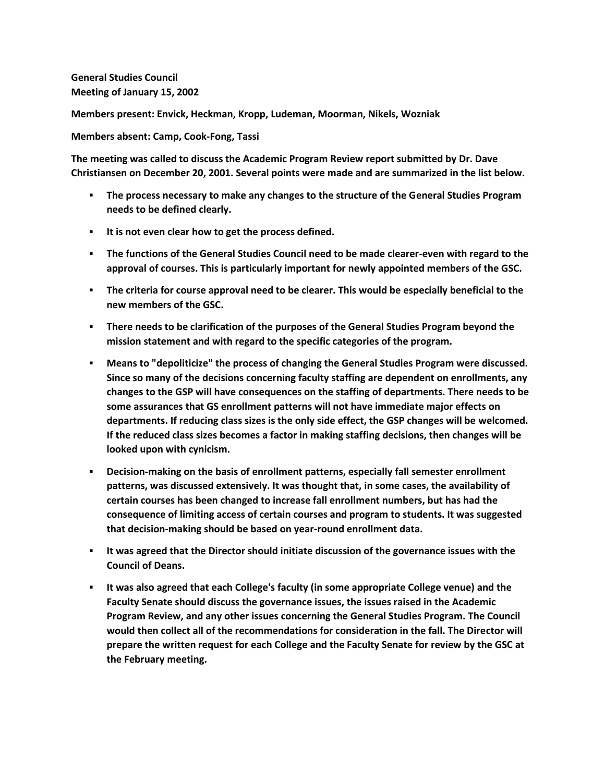**General Studies Council Meeting of January 15, 2002**

**Members present: Envick, Heckman, Kropp, Ludeman, Moorman, Nikels, Wozniak**

**Members absent: Camp, Cook-Fong, Tassi**

**The meeting was called to discuss the Academic Program Review report submitted by Dr. Dave Christiansen on December 20, 2001. Several points were made and are summarized in the list below.**

- **The process necessary to make any changes to the structure of the General Studies Program needs to be defined clearly.**
- **It is not even clear how to get the process defined.**
- **The functions of the General Studies Council need to be made clearer-even with regard to the approval of courses. This is particularly important for newly appointed members of the GSC.**
- **The criteria for course approval need to be clearer. This would be especially beneficial to the new members of the GSC.**
- **There needs to be clarification of the purposes of the General Studies Program beyond the mission statement and with regard to the specific categories of the program.**
- **Means to "depoliticize" the process of changing the General Studies Program were discussed. Since so many of the decisions concerning faculty staffing are dependent on enrollments, any changes to the GSP will have consequences on the staffing of departments. There needs to be some assurances that GS enrollment patterns will not have immediate major effects on departments. If reducing class sizes is the only side effect, the GSP changes will be welcomed. If the reduced class sizes becomes a factor in making staffing decisions, then changes will be looked upon with cynicism.**
- **Decision-making on the basis of enrollment patterns, especially fall semester enrollment patterns, was discussed extensively. It was thought that, in some cases, the availability of certain courses has been changed to increase fall enrollment numbers, but has had the consequence of limiting access of certain courses and program to students. It was suggested that decision-making should be based on year-round enrollment data.**
- **It was agreed that the Director should initiate discussion of the governance issues with the Council of Deans.**
- **It was also agreed that each College's faculty (in some appropriate College venue) and the Faculty Senate should discuss the governance issues, the issues raised in the Academic Program Review, and any other issues concerning the General Studies Program. The Council would then collect all of the recommendations for consideration in the fall. The Director will prepare the written request for each College and the Faculty Senate for review by the GSC at the February meeting.**